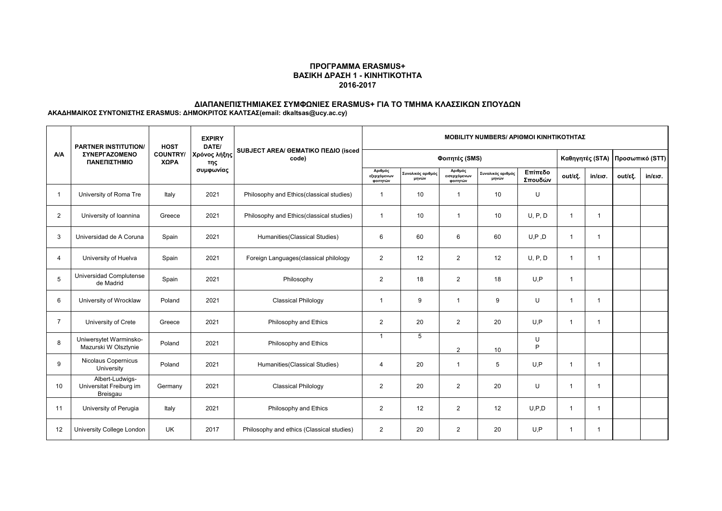## **ΠΡΟΓΡΑΜΜΑ ERASMUS+ ΒΑΣΙΚΗ ΔΡΑΣΗ 1 - ΚΙΝΗΤΙΚΟΤΗΤΑ 2016-2017**

# **ΔΙΑΠΑΝΕΠΙΣΤΗΜΙΑΚΕΣ ΣΥΜΦΩΝΙΕΣ ERASMUS+ ΓΙΑ ΤΟ ΤΜΗΜΑ ΚΛΑΣΣΙΚΩΝ ΣΠΟΥΔΩΝ**

**ΑΚΑΔΗΜΑΙΚΟΣ ΣΥΝΤΟΝΙΣΤΗΣ ERASMUS: ΔΗΜΟΚΡΙΤΟΣ ΚΑΛΤΣΑΣ(email: dkaltsas@ucy.ac.cy)**

| <b>A/A</b>     | <b>PARTNER INSTITUTION/</b><br>ΣΥΝΕΡΓΑΖΟΜΕΝΟ<br>ΠΑΝΕΠΙΣΤΗΜΙΟ | <b>HOST</b><br><b>COUNTRY/</b><br>ΧΩΡΑ | <b>EXPIRY</b><br>DATE/<br>Χρόνος λήξης<br>της | SUBJECT AREA/ GEMATIKO ΠΕΔΙΟ (isced<br>code) | <b>MOBILITY NUMBERS/ APIOMOI KINHTIKOTHTAZ</b> |                            |                                     |                            |                    |              |                   |                                 |                   |
|----------------|--------------------------------------------------------------|----------------------------------------|-----------------------------------------------|----------------------------------------------|------------------------------------------------|----------------------------|-------------------------------------|----------------------------|--------------------|--------------|-------------------|---------------------------------|-------------------|
|                |                                                              |                                        |                                               |                                              | Φοιτητές (SMS)                                 |                            |                                     |                            |                    |              |                   | Καθηγητές (STA) Προσωπικό (STT) |                   |
|                |                                                              |                                        | συμφωνίας                                     |                                              | Αριθμός<br>εξερχόμενων<br>φοιτητών             | Συνολικός αριθμός<br>μηνών | Αριθμός<br>εισερχόμενων<br>φοιτητών | Συνολικός αριθμός<br>μηνών | Επίπεδο<br>Σπουδών | out/εξ.      | $in/\epsilon$ ισ. | out/εξ.                         | $in/\epsilon$ ισ. |
|                | University of Roma Tre                                       | Italy                                  | 2021                                          | Philosophy and Ethics(classical studies)     | $\overline{1}$                                 | 10                         | $\overline{1}$                      | 10                         | U                  |              |                   |                                 |                   |
| $\overline{2}$ | University of Ioannina                                       | Greece                                 | 2021                                          | Philosophy and Ethics(classical studies)     | $\overline{1}$                                 | 10                         | $\mathbf 1$                         | 10                         | U, P, D            |              | 1                 |                                 |                   |
| 3              | Universidad de A Coruna                                      | Spain                                  | 2021                                          | Humanities (Classical Studies)               | 6                                              | 60                         | 6                                   | 60                         | U, P, D            | $\mathbf{1}$ | -1                |                                 |                   |
| $\overline{4}$ | University of Huelva                                         | Spain                                  | 2021                                          | Foreign Languages (classical philology       | $\overline{2}$                                 | 12                         | $\overline{2}$                      | 12                         | U, P, D            | $\mathbf{1}$ | -1                |                                 |                   |
| 5              | Universidad Complutense<br>de Madrid                         | Spain                                  | 2021                                          | Philosophy                                   | 2                                              | 18                         | 2                                   | 18                         | U.P                | $\mathbf{1}$ |                   |                                 |                   |
| 6              | University of Wrocklaw                                       | Poland                                 | 2021                                          | <b>Classical Philology</b>                   | $\overline{1}$                                 | 9                          | $\mathbf{1}$                        | 9                          | U                  | $\mathbf{1}$ | $\mathbf 1$       |                                 |                   |
| $\overline{7}$ | University of Crete                                          | Greece                                 | 2021                                          | Philosophy and Ethics                        | 2                                              | 20                         | $\overline{2}$                      | 20                         | U.P                | $\mathbf{1}$ | -1                |                                 |                   |
| 8              | Uniwersytet Warminsko-<br>Mazurski W Olsztynie               | Poland                                 | 2021                                          | Philosophy and Ethics                        | $\mathbf 1$                                    | 5                          | 2                                   | 10                         | U<br>P             |              |                   |                                 |                   |
| 9              | Nicolaus Copernicus<br>University                            | Poland                                 | 2021                                          | Humanities (Classical Studies)               | $\overline{4}$                                 | 20                         | $\mathbf{1}$                        | 5                          | U.P                | $\mathbf{1}$ | -1                |                                 |                   |
| 10             | Albert-Ludwigs-<br>Universitat Freiburg im<br>Breisgau       | Germany                                | 2021                                          | <b>Classical Philology</b>                   | $\overline{2}$                                 | 20                         | $\overline{2}$                      | 20                         | U                  | $\mathbf{1}$ | -1                |                                 |                   |
| 11             | University of Perugia                                        | Italy                                  | 2021                                          | Philosophy and Ethics                        | $\overline{2}$                                 | 12                         | 2                                   | 12                         | U, P, D            | $\mathbf{1}$ | -1                |                                 |                   |
| 12             | University College London                                    | <b>UK</b>                              | 2017                                          | Philosophy and ethics (Classical studies)    | $\overline{2}$                                 | 20                         | 2                                   | 20                         | U.P                | 1            | -1                |                                 |                   |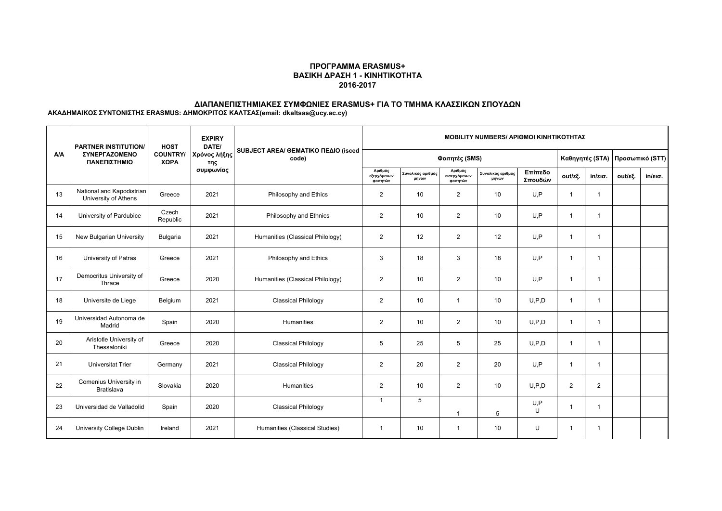## **ΠΡΟΓΡΑΜΜΑ ERASMUS+ ΒΑΣΙΚΗ ΔΡΑΣΗ 1 - ΚΙΝΗΤΙΚΟΤΗΤΑ 2016-2017**

## **ΔΙΑΠΑΝΕΠΙΣΤΗΜΙΑΚΕΣ ΣΥΜΦΩΝΙΕΣ ERASMUS+ ΓΙΑ ΤΟ ΤΜΗΜΑ ΚΛΑΣΣΙΚΩΝ ΣΠΟΥΔΩΝ**

**ΑΚΑΔΗΜΑΙΚΟΣ ΣΥΝΤΟΝΙΣΤΗΣ ERASMUS: ΔΗΜΟΚΡΙΤΟΣ ΚΑΛΤΣΑΣ(email: dkaltsas@ucy.ac.cy)**

| <b>A/A</b> | <b>PARTNER INSTITUTION/</b><br>ΣΥΝΕΡΓΑΖΟΜΕΝΟ<br>ΠΑΝΕΠΙΣΤΗΜΙΟ | <b>HOST</b><br><b>COUNTRY/</b><br>ΧΩΡΑ | <b>EXPIRY</b><br>DATE/<br>Χρόνος λήξης<br>της | SUBJECT AREA/ GEMATIKO ΠΕΔΙΟ (isced<br>code) | <b>MOBILITY NUMBERS/ APIOMOI KINHTIKOTHTAZ</b> |                            |                                     |                            |                    |                |                   |                                 |                   |
|------------|--------------------------------------------------------------|----------------------------------------|-----------------------------------------------|----------------------------------------------|------------------------------------------------|----------------------------|-------------------------------------|----------------------------|--------------------|----------------|-------------------|---------------------------------|-------------------|
|            |                                                              |                                        |                                               |                                              | Φοιτητές (SMS)                                 |                            |                                     |                            |                    |                |                   | Καθηγητές (STA) Προσωπικό (STT) |                   |
|            |                                                              |                                        | συμφωνίας                                     |                                              | Αριθμός<br>εξερχόμενων<br>φοιτητών             | Συνολικός αριθμός<br>μηνών | Αριθμός<br>εισερχόμενων<br>ΦΟΙΤΠΤών | Συνολικός αριθμός<br>μηνών | Επίπεδο<br>Σπουδών | out/εξ.        | $in/\epsilon$ ισ. | out/εξ.                         | $in/\epsilon$ ισ. |
| 13         | National and Kapodistrian<br>University of Athens            | Greece                                 | 2021                                          | Philosophy and Ethics                        | $\overline{2}$                                 | 10                         | 2                                   | 10                         | U.P                | 1              | -1                |                                 |                   |
| 14         | University of Pardubice                                      | Czech<br>Republic                      | 2021                                          | Philosophy and Ethnics                       | $\overline{2}$                                 | 10                         | 2                                   | 10                         | U.P                | $\mathbf{1}$   | -1                |                                 |                   |
| 15         | New Bulgarian University                                     | Bulgaria                               | 2021                                          | Humanities (Classical Philology)             | 2                                              | 12                         | 2                                   | 12                         | U.P                | $\mathbf{1}$   | -1                |                                 |                   |
| 16         | University of Patras                                         | Greece                                 | 2021                                          | Philosophy and Ethics                        | 3                                              | 18                         | 3                                   | 18                         | U.P                | $\mathbf{1}$   | -1                |                                 |                   |
| 17         | Democritus University of<br>Thrace                           | Greece                                 | 2020                                          | Humanities (Classical Philology)             | 2                                              | 10                         | $\overline{2}$                      | 10                         | U.P                | $\mathbf{1}$   | -1                |                                 |                   |
| 18         | Universite de Liege                                          | Belgium                                | 2021                                          | <b>Classical Philology</b>                   | $\overline{2}$                                 | 10                         | $\overline{1}$                      | 10                         | U, P, D            | $\mathbf{1}$   | $\overline{1}$    |                                 |                   |
| 19         | Universidad Autonoma de<br>Madrid                            | Spain                                  | 2020                                          | Humanities                                   | $\overline{2}$                                 | 10                         | $\overline{2}$                      | 10                         | U.P.D              | $\mathbf{1}$   | -1                |                                 |                   |
| 20         | Aristotle University of<br>Thessaloniki                      | Greece                                 | 2020                                          | <b>Classical Philology</b>                   | 5                                              | 25                         | 5                                   | 25                         | U.P.D              | $\mathbf{1}$   | -1                |                                 |                   |
| 21         | <b>Universitat Trier</b>                                     | Germany                                | 2021                                          | <b>Classical Philology</b>                   | 2                                              | 20                         | $\overline{2}$                      | 20                         | U.P                | $\mathbf{1}$   | -1                |                                 |                   |
| 22         | Comenius University in<br><b>Bratislava</b>                  | Slovakia                               | 2020                                          | Humanities                                   | $\overline{2}$                                 | 10                         | 2                                   | 10                         | U.P.D              | $\overline{2}$ | $\overline{2}$    |                                 |                   |
| 23         | Universidad de Valladolid                                    | Spain                                  | 2020                                          | <b>Classical Philology</b>                   | $\overline{1}$                                 | 5                          | 1                                   | 5                          | U, P<br>U          | $\mathbf{1}$   | -1                |                                 |                   |
| 24         | University College Dublin                                    | Ireland                                | 2021                                          | Humanities (Classical Studies)               | $\overline{1}$                                 | 10 <sup>10</sup>           | $\mathbf{1}$                        | 10                         | U                  | 1              | -1                |                                 |                   |